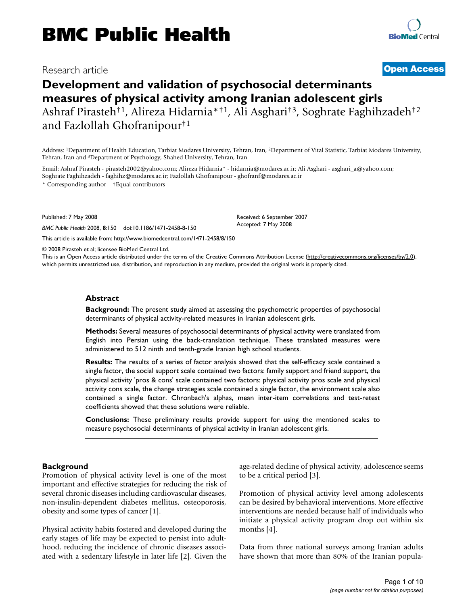# Research article **[Open Access](http://www.biomedcentral.com/info/about/charter/)**

# **Development and validation of psychosocial determinants measures of physical activity among Iranian adolescent girls** Ashraf Pirasteh†1, Alireza Hidarnia\*†1, Ali Asghari†3, Soghrate Faghihzadeh†2 and Fazlollah Ghofranipour†1

Address: 1Department of Health Education, Tarbiat Modares University, Tehran, Iran, 2Department of Vital Statistic, Tarbiat Modares University, Tehran, Iran and 3Department of Psychology, Shahed University, Tehran, Iran

Email: Ashraf Pirasteh - pirasteh2002@yahoo.com; Alireza Hidarnia\* - hidarnia@modares.ac.ir; Ali Asghari - asghari\_a@yahoo.com; Soghrate Faghihzadeh - faghihz@modares.ac.ir; Fazlollah Ghofranipour - ghofranf@modares.ac.ir

\* Corresponding author †Equal contributors

Published: 7 May 2008

*BMC Public Health* 2008, **8**:150 doi:10.1186/1471-2458-8-150

[This article is available from: http://www.biomedcentral.com/1471-2458/8/150](http://www.biomedcentral.com/1471-2458/8/150)

© 2008 Pirasteh et al; licensee BioMed Central Ltd.

This is an Open Access article distributed under the terms of the Creative Commons Attribution License [\(http://creativecommons.org/licenses/by/2.0\)](http://creativecommons.org/licenses/by/2.0), which permits unrestricted use, distribution, and reproduction in any medium, provided the original work is properly cited.

Received: 6 September 2007 Accepted: 7 May 2008

#### **Abstract**

**Background:** The present study aimed at assessing the psychometric properties of psychosocial determinants of physical activity-related measures in Iranian adolescent girls.

**Methods:** Several measures of psychosocial determinants of physical activity were translated from English into Persian using the back-translation technique. These translated measures were administered to 512 ninth and tenth-grade Iranian high school students.

**Results:** The results of a series of factor analysis showed that the self-efficacy scale contained a single factor, the social support scale contained two factors: family support and friend support, the physical activity 'pros & cons' scale contained two factors: physical activity pros scale and physical activity cons scale, the change strategies scale contained a single factor, the environment scale also contained a single factor. Chronbach's alphas, mean inter-item correlations and test-retest coefficients showed that these solutions were reliable.

**Conclusions:** These preliminary results provide support for using the mentioned scales to measure psychosocial determinants of physical activity in Iranian adolescent girls.

#### **Background**

Promotion of physical activity level is one of the most important and effective strategies for reducing the risk of several chronic diseases including cardiovascular diseases, non-insulin-dependent diabetes mellitus, osteoporosis, obesity and some types of cancer [1].

Physical activity habits fostered and developed during the early stages of life may be expected to persist into adulthood, reducing the incidence of chronic diseases associated with a sedentary lifestyle in later life [2]. Given the age-related decline of physical activity, adolescence seems to be a critical period [3].

Promotion of physical activity level among adolescents can be desired by behavioral interventions. More effective interventions are needed because half of individuals who initiate a physical activity program drop out within six months [4].

Data from three national surveys among Iranian adults have shown that more than 80% of the Iranian popula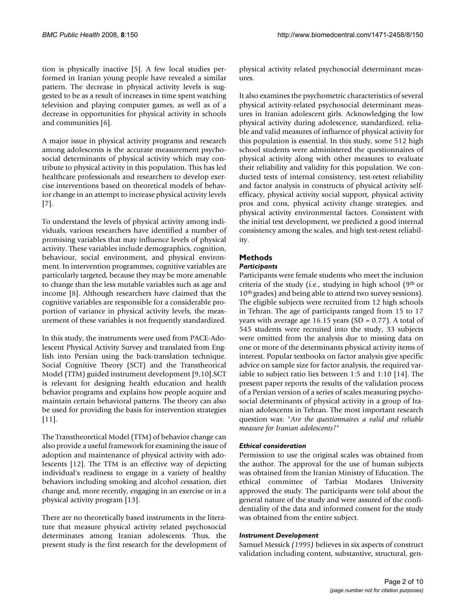tion is physically inactive [5]. A few local studies performed in Iranian young people have revealed a similar pattern. The decrease in physical activity levels is suggested to be as a result of increases in time spent watching television and playing computer games, as well as of a decrease in opportunities for physical activity in schools and communities [6].

A major issue in physical activity programs and research among adolescents is the accurate measurement psychosocial determinants of physical activity which may contribute to physical activity in this population. This has led healthcare professionals and researchers to develop exercise interventions based on theoretical models of behavior change in an attempt to increase physical activity levels [7].

To understand the levels of physical activity among individuals, various researchers have identified a number of promising variables that may influence levels of physical activity. These variables include demographics, cognition, behaviour, social environment, and physical environment. In intervention programmes, cognitive variables are particularly targeted, because they may be more amenable to change than the less mutable variables such as age and income [8]. Although researchers have claimed that the cognitive variables are responsible for a considerable proportion of variance in physical activity levels, the measurement of these variables is not frequently standardized.

In this study, the instruments were used from PACE-Adolescent Physical Activity Survey and translated from English into Persian using the back-translation technique. Social Cognitive Theory (SCT) and the Transtheorical Model (TTM) guided instrument development [9,10].SCT is relevant for designing health education and health behavior programs and explains how people acquire and maintain certain behavioral patterns. The theory can also be used for providing the basis for intervention strategies [11].

The Transtheoretical Model (TTM) of behavior change can also provide a useful framework for examining the issue of adoption and maintenance of physical activity with adolescents [12]. The TTM is an effective way of depicting individual's readiness to engage in a variety of healthy behaviors including smoking and alcohol cessation, diet change and, more recently, engaging in an exercise or in a physical activity program [13].

There are no theoretically based instruments in the literature that measure physical activity related psychosocial determinates among Iranian adolescents. Thus, the present study is the first research for the development of physical activity related psychosocial determinant measures.

It also examines the psychometric characteristics of several physical activity-related psychosocial determinant measures in Iranian adolescent girls. Acknowledging the low physical activity during adolescence, standardized, reliable and valid measures of influence of physical activity for this population is essential. In this study, some 512 high school students were administered the questionnaires of physical activity along with other measures to evaluate their reliability and validity for this population. We conducted tests of internal consistency, test-retest reliability and factor analysis in constructs of physical activity selfefficacy, physical activity social support, physical activity pros and cons, physical activity change strategies, and physical activity environmental factors. Consistent with the initial test development, we predicted a good internal consistency among the scales, and high test-retest reliability.

# **Methods**

# *Participants*

Participants were female students who meet the inclusion criteria of the study (i.e., studying in high school ( $9<sup>th</sup>$  or 10<sup>th</sup> grades) and being able to attend two survey sessions). The eligible subjects were recruited from 12 high schools in Tehran. The age of participants ranged from 15 to 17 years with average age 16.15 years ( $SD = 0.77$ ). A total of 545 students were recruited into the study, 33 subjects were omitted from the analysis due to missing data on one or more of the determinants physical activity items of interest. Popular textbooks on factor analysis give specific advice on sample size for factor analysis, the required variable to subject ratio lies between 1:5 and 1:10 [14]. The present paper reports the results of the validation process of a Persian version of a series of scales measuring psychosocial determinants of physical activity in a group of Iranian adolescents in Tehran. The most important research question was: "*Are the questionnaires a valid and reliable measure for Iranian adolescents?*"

## *Ethical consideration*

Permission to use the original scales was obtained from the author. The approval for the use of human subjects was obtained from the Iranian Ministry of Education. The ethical committee of Tarbiat Modares University approved the study. The participants were told about the general nature of the study and were assured of the confidentiality of the data and informed consent for the study was obtained from the entire subject.

## *Instrument Development*

Samuel Messick *(1995)* believes in six aspects of construct validation including content, substantive, structural, gen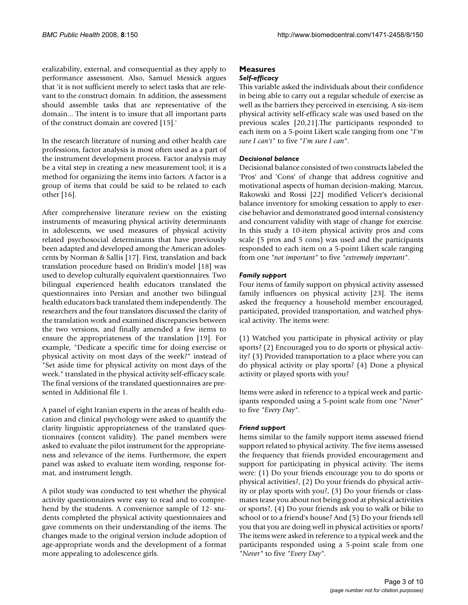eralizability, external, and consequential as they apply to performance assessment. Also, Samuel Messick argues that 'it is not sufficient merely to select tasks that are relevant to the construct domain. In addition, the assessment should assemble tasks that are representative of the domain... The intent is to insure that all important parts of the construct domain are covered [15].'

In the research literature of nursing and other health care professions, factor analysis is most often used as a part of the instrument development process. Factor analysis may be a vital step in creating a new measurement tool; it is a method for organizing the items into factors. A factor is a group of items that could be said to be related to each other [16].

After comprehensive literature review on the existing instruments of measuring physical activity determinants in adolescents, we used measures of physical activity related psychosocial determinants that have previously been adapted and developed among the American adolescents by Norman & Sallis [17]. First, translation and back translation procedure based on Brislin's model [18] was used to develop culturally equivalent questionnaires. Two bilingual experienced health educators translated the questionnaires into Persian and another two bilingual health educators back translated them independently. The researchers and the four translators discussed the clarity of the translation work and examined discrepancies between the two versions, and finally amended a few items to ensure the appropriateness of the translation [19]. For example, "Dedicate a specific time for doing exercise or physical activity on most days of the week?" instead of "Set aside time for physical activity on most days of the week." translated in the physical activity self-efficacy scale. The final versions of the translated questionnaires are presented in Additional file 1.

A panel of eight Iranian experts in the areas of health education and clinical psychology were asked to quantify the clarity linguistic appropriateness of the translated questionnaires (content validity). The panel members were asked to evaluate the pilot instrument for the appropriateness and relevance of the items. Furthermore, the expert panel was asked to evaluate item wording, response format, and instrument length.

A pilot study was conducted to test whether the physical activity questionnaires were easy to read and to comprehend by the students. A convenience sample of 12- students completed the physical activity questionnaires and gave comments on their understanding of the items. The changes made to the original version include adoption of age-appropriate words and the development of a format more appealing to adolescence girls.

# **Measures**

## *Self-efficacy*

This variable asked the individuals about their confidence in being able to carry out a regular schedule of exercise as well as the barriers they perceived in exercising. A six-item physical activity self-efficacy scale was used based on the previous scales [20,21].The participants responded to each item on a 5-point Likert scale ranging from one "*I'm sure I can't"* to five "*I'm sure I can"*.

# *Decisional balance*

Decisional balance consisted of two constructs labeled the 'Pros' and 'Cons' of change that address cognitive and motivational aspects of human decision-making. Marcus, Rakowski and Rossi [22] modified Velicer's decisional balance inventory for smoking cessation to apply to exercise behavior and demonstrated good internal consistency and concurrent validity with stage of change for exercise. In this study a 10-item physical activity pros and cons scale (5 pros and 5 cons) was used and the participants responded to each item on a 5-point Likert scale ranging from one *"not important"* to five *"extremely important"*.

# *Family support*

Four items of family support on physical activity assessed family influences on physical activity [23]. The items asked the frequency a household member encouraged, participated, provided transportation, and watched physical activity. The items were:

(1) Watched you participate in physical activity or play sports? (2) Encouraged you to do sports or physical activity? (3) Provided transportation to a place where you can do physical activity or play sports? (4) Done a physical activity or played sports with you?

Items were asked in reference to a typical week and participants responded using a 5-point scale from one "*Never*" to five *"Every Day"*.

## *Friend support*

Items similar to the family support items assessed friend support related to physical activity. The five items assessed the frequency that friends provided encouragement and support for participating in physical activity. The items were: (1) Do your friends encourage you to do sports or physical activities?, (2) Do your friends do physical activity or play sports with you?, (3) Do your friends or classmates tease you about not being good at physical activities or sports?, (4) Do your friends ask you to walk or bike to school or to a friend's house? And (5) Do your friends tell you that you are doing well in physical activities or sports? The items were asked in reference to a typical week and the participants responded using a 5-point scale from one *"Never"* to five *"Every Day"*.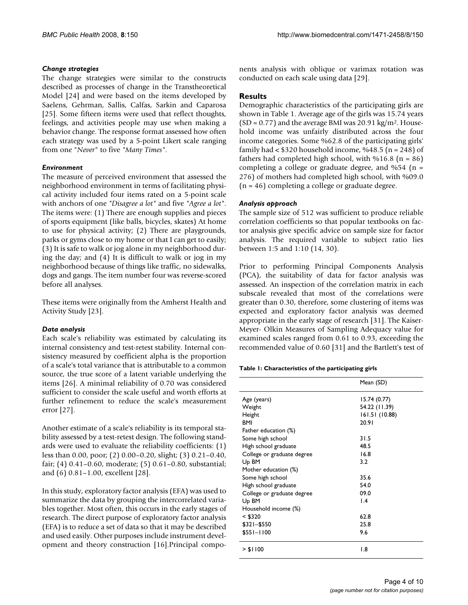## *Change strategies*

The change strategies were similar to the constructs described as processes of change in the Transtheoretical Model [24] and were based on the items developed by Saelens, Gehrman, Sallis, Calfas, Sarkin and Caparosa [25]. Some fifteen items were used that reflect thoughts, feelings, and activities people may use when making a behavior change. The response format assessed how often each strategy was used by a 5-point Likert scale ranging from one "*Never*" to five *"Many Times"*.

## *Environment*

The measure of perceived environment that assessed the neighborhood environment in terms of facilitating physical activity included four items rated on a 5-point scale with anchors of one *"Disagree a lot"* and five *"Agree a lot"*. The items were: (1) There are enough supplies and pieces of sports equipment (like balls, bicycles, skates) At home to use for physical activity; (2) There are playgrounds, parks or gyms close to my home or that I can get to easily; (3) It is safe to walk or jog alone in my neighborhood during the day; and (4) It is difficult to walk or jog in my neighborhood because of things like traffic, no sidewalks, dogs and gangs. The item number four was reverse-scored before all analyses.

These items were originally from the Amherst Health and Activity Study [23].

## *Data analysis*

Each scale's reliability was estimated by calculating its internal consistency and test-retest stability. Internal consistency measured by coefficient alpha is the proportion of a scale's total variance that is attributable to a common source, the true score of a latent variable underlying the items [26]. A minimal reliability of 0.70 was considered sufficient to consider the scale useful and worth efforts at further refinement to reduce the scale's measurement error [27].

Another estimate of a scale's reliability is its temporal stability assessed by a test-retest design. The following standards were used to evaluate the reliability coefficients: (1) less than 0.00, poor; (2) 0.00–0.20, slight; (3) 0.21–0.40, fair; (4) 0.41–0.60, moderate; (5) 0.61–0.80, substantial; and (6) 0.81–1.00, excellent [28].

In this study, exploratory factor analysis (EFA) was used to summarize the data by grouping the intercorrelated variables together. Most often, this occurs in the early stages of research. The direct purpose of exploratory factor analysis (EFA) is to reduce a set of data so that it may be described and used easily. Other purposes include instrument development and theory construction [16].Principal components analysis with oblique or varimax rotation was conducted on each scale using data [29].

# **Results**

Demographic characteristics of the participating girls are shown in Table 1. Average age of the girls was 15.74 years  $(SD = 0.77)$  and the average BMI was 20.91 kg/m<sup>2</sup>. Household income was unfairly distributed across the four income categories. Some %62.8 of the participating girls' family had  $<$  \$320 household income, %48.5 (n = 248) of fathers had completed high school, with  $\%$ 16.8 (n = 86) completing a college or graduate degree, and  $\%54$  (n = 276) of mothers had completed high school, with %09.0 (n = 46) completing a college or graduate degree.

## *Analysis approach*

The sample size of 512 was sufficient to produce reliable correlation coefficients so that popular textbooks on factor analysis give specific advice on sample size for factor analysis. The required variable to subject ratio lies between 1:5 and 1:10 (14, 30).

Prior to performing Principal Components Analysis (PCA), the suitability of data for factor analysis was assessed. An inspection of the correlation matrix in each subscale revealed that most of the correlations were greater than 0.30, therefore, some clustering of items was expected and exploratory factor analysis was deemed appropriate in the early stage of research [31]. The Kaiser-Meyer- Olkin Measures of Sampling Adequacy value for examined scales ranged from 0.61 to 0.93, exceeding the recommended value of 0.60 [31] and the Bartlett's test of

#### **Table 1: Characteristics of the participating girls**

|                            | Mean (SD)       |
|----------------------------|-----------------|
| Age (years)                | 15.74(0.77)     |
| Weight                     | 54.22 (11.39)   |
| Height                     | 161.51 (10.88)  |
| BMI                        | 20.91           |
| Father education (%)       |                 |
| Some high school           | 31.5            |
| High school graduate       | 48.5            |
| College or graduate degree | 16.8            |
| U <sub>p</sub> BM          | 3.2             |
| Mother education (%)       |                 |
| Some high school           | 35.6            |
| High school graduate       | 54.0            |
| College or graduate degree | 09.0            |
| U <sub>p</sub> BM          | $\mathsf{I}$ .4 |
| Household income (%)       |                 |
| < \$320                    | 62.8            |
| $$321 - $550$              | 25.8            |
| $$551 - 1100$              | 9.6             |
| > \$1100                   | 1.8             |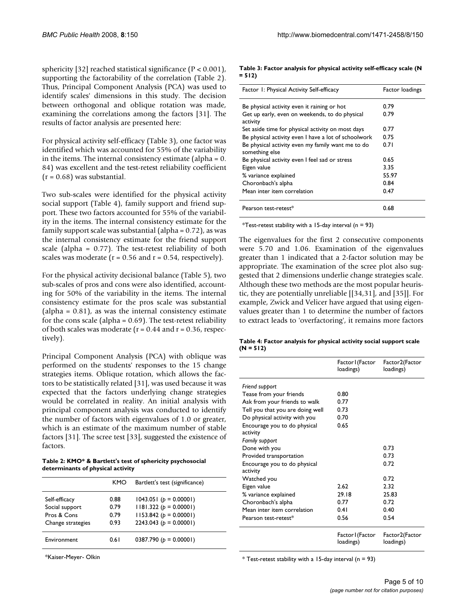sphericity [32] reached statistical significance  $(P < 0.001)$ , supporting the factorability of the correlation (Table 2). Thus, Principal Component Analysis (PCA) was used to identify scales' dimensions in this study. The decision between orthogonal and oblique rotation was made, examining the correlations among the factors [31]. The results of factor analysis are presented here:

For physical activity self-efficacy (Table 3), one factor was identified which was accounted for 55% of the variability in the items. The internal consistency estimate (alpha = 0. 84) was excellent and the test-retest reliability coefficient  $(r = 0.68)$  was substantial.

Two sub-scales were identified for the physical activity social support (Table 4), family support and friend support. These two factors accounted for 55% of the variability in the items. The internal consistency estimate for the family support scale was substantial (alpha =  $0.72$ ), as was the internal consistency estimate for the friend support scale (alpha = 0.77). The test-retest reliability of both scales was moderate ( $r = 0.56$  and  $r = 0.54$ , respectively).

For the physical activity decisional balance (Table 5), two sub-scales of pros and cons were also identified, accounting for 50% of the variability in the items. The internal consistency estimate for the pros scale was substantial  $\alpha$  (alpha = 0.81), as was the internal consistency estimate for the cons scale (alpha =  $0.69$ ). The test-retest reliability of both scales was moderate ( $r = 0.44$  and  $r = 0.36$ , respectively).

Principal Component Analysis (PCA) with oblique was performed on the students' responses to the 15 change strategies items. Oblique rotation, which allows the factors to be statistically related [31], was used because it was expected that the factors underlying change strategies would be correlated in reality. An initial analysis with principal component analysis was conducted to identify the number of factors with eigenvalues of 1.0 or greater, which is an estimate of the maximum number of stable factors [31]. The scree test [33], suggested the existence of factors.

**Table 2: KMO\* & Bartlett's test of sphericity psychosocial determinants of physical activity**

|                   | KMO  | Bartlett's test (significance) |
|-------------------|------|--------------------------------|
| Self-efficacy     | 0.88 | $1043.051 (p = 0.00001)$       |
| Social support    | 0.79 | $1181.322 (p = 0.00001)$       |
| Pros & Cons       | 0.79 | $1153.842$ ( $p = 0.00001$ )   |
| Change strategies | 0.93 | 2243.043 ( $b = 0.00001$ )     |
| Environment       | 0.61 | 0387.790 ( $p = 0.00001$ )     |

\*Kaiser-Meyer- Olkin

**Table 3: Factor analysis for physical activity self-efficacy scale (N = 512)**

| Factor 1: Physical Activity Self-efficacy            | Factor loadings |
|------------------------------------------------------|-----------------|
|                                                      |                 |
| Be physical activity even it raining or hot          | 0.79            |
| Get up early, even on weekends, to do physical       | 0.79            |
| activity                                             |                 |
| Set aside time for physical activity on most days    | 0.77            |
| Be physical activity even I have a lot of schoolwork | 0.75            |
| Be physical activity even my family want me to do    | 0.71            |
| something else                                       |                 |
| Be physical activity even I feel sad or stress       | 0.65            |
| Eigen value                                          | 3.35            |
| % variance explained                                 | 55.97           |
| Choronbach's alpha                                   | 0.84            |
| Mean inter item correlation                          | 0.47            |
|                                                      |                 |
| Pearson test-retest*                                 | 0.68            |

\*Test-retest stability with a 15-day interval ( $n = 93$ )

The eigenvalues for the first 2 consecutive components were 5.70 and 1.06. Examination of the eigenvalues greater than 1 indicated that a 2-factor solution may be appropriate. The examination of the scree plot also suggested that 2 dimensions underlie change strategies scale. Although these two methods are the most popular heuristic, they are potentially unreliable [[34,31], and [35]]. For example, Zwick and Velicer have argued that using eigenvalues greater than 1 to determine the number of factors to extract leads to 'overfactoring', it remains more factors

**Table 4: Factor analysis for physical activity social support scale (N = 512)**

|                                          | Factor I (Factor<br>loadings) | Factor2(Factor<br>loadings) |
|------------------------------------------|-------------------------------|-----------------------------|
| Friend support                           |                               |                             |
| Tease from your friends                  | 0.80                          |                             |
| Ask from your friends to walk            | 0.77                          |                             |
| Tell you that you are doing well         | 0.73                          |                             |
| Do physical activity with you            | 0.70                          |                             |
| Encourage you to do physical<br>activity | 0.65                          |                             |
| Family support                           |                               |                             |
| Done with you                            |                               | 0.73                        |
| Provided transportation                  |                               | 0.73                        |
| Encourage you to do physical<br>activity |                               | 0.72                        |
| Watched you                              |                               | 0.72                        |
| Eigen value                              | 2.62                          | 2.32                        |
| % variance explained                     | 29.18                         | 25.83                       |
| Choronbach's alpha                       | 0.77                          | 0.72                        |
| Mean inter item correlation              | 0.41                          | 0.40                        |
| Pearson test-retest*                     | 0.56                          | 0.54                        |
|                                          | Factor I (Factor<br>loadings) | Factor2(Factor<br>loadings) |

 $*$  Test-retest stability with a 15-day interval (n = 93)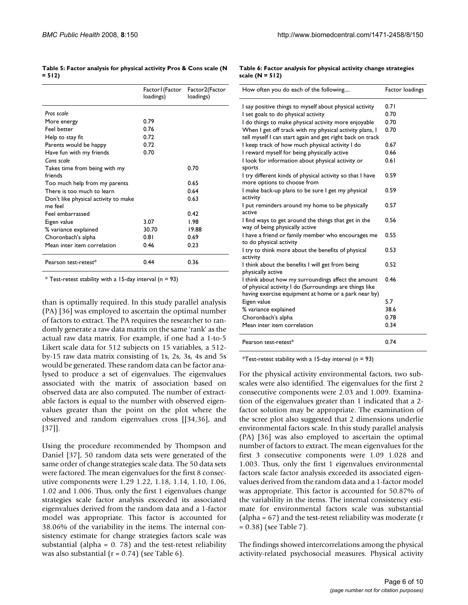| Table 5: Factor analysis for physical activity Pros & Cons scale (N |  |  |
|---------------------------------------------------------------------|--|--|
| $= 512$                                                             |  |  |

|                                      | Factor I (Factor<br>loadings) | Factor2(Factor<br>loadings) |
|--------------------------------------|-------------------------------|-----------------------------|
| Pros scale                           |                               |                             |
| More energy                          | 0.79                          |                             |
| Feel better                          | 0.76                          |                             |
| Help to stay fit                     | 0.72                          |                             |
| Parents would be happy               | 0.72                          |                             |
| Have fun with my friends             | 0.70                          |                             |
| Cons scale                           |                               |                             |
| Takes time from being with my        |                               | 0.70                        |
| friends                              |                               |                             |
| Too much help from my parents        |                               | 0.65                        |
| There is too much to learn           |                               | 0.64                        |
| Don't like physical activity to make |                               | 0.63                        |
| me feel                              |                               |                             |
| Feel embarrassed                     |                               | 0.42                        |
| Eigen value                          | 3.07                          | 1.98                        |
| % variance explained                 | 30.70                         | 19.88                       |
| Choronbach's alpha                   | 0.81                          | 0.69                        |
| Mean inter item correlation          | 0.46                          | 0.23                        |
| Pearson test-retest*                 | 0.44                          | 0.36                        |

 $*$  Test-retest stability with a 15-day interval (n = 93)

than is optimally required. In this study parallel analysis (PA) [36] was employed to ascertain the optimal number of factors to extract. The PA requires the researcher to randomly generate a raw data matrix on the same 'rank' as the actual raw data matrix. For example, if one had a 1-to-5 Likert scale data for 512 subjects on 15 variables, a 512 by-15 raw data matrix consisting of 1s, 2s, 3s, 4s and 5s would be generated. These random data can be factor analysed to produce a set of eigenvalues. The eigenvalues associated with the matrix of association based on observed data are also computed. The number of extractable factors is equal to the number with observed eigenvalues greater than the point on the plot where the observed and random eigenvalues cross [[34,36], and [37]].

Using the procedure recommended by Thompson and Daniel [37], 50 random data sets were generated of the same order of change strategies scale data. The 50 data sets were factored. The mean eigenvalues for the first 8 consecutive components were 1.29 1.22, 1.18, 1.14, 1.10, 1.06, 1.02 and 1.006. Thus, only the first 1 eigenvalues change strategies scale factor analysis exceeded its associated eigenvalues derived from the random data and a 1-factor model was appropriate. This factor is accounted for 38.06% of the variability in the items. The internal consistency estimate for change strategies factors scale was substantial (alpha =  $0.78$ ) and the test-retest reliability was also substantial  $(r = 0.74)$  (see Table 6).

**Table 6: Factor analysis for physical activity change strategies scale (N = 512)**

| How often you do each of the following                                                                                                                                 | Factor loadings |
|------------------------------------------------------------------------------------------------------------------------------------------------------------------------|-----------------|
| I say positive things to myself about physical activity                                                                                                                | 0.71            |
| I set goals to do physical activity                                                                                                                                    | 0.70            |
| I do things to make physical activity more enjoyable                                                                                                                   | 0.70            |
| When I get off track with my physical activity plans, I<br>tell myself I can start again and get right back on track                                                   | 0.70            |
| I keep track of how much physical activity I do                                                                                                                        | 0.67            |
| I reward myself for being physically active                                                                                                                            | 0.66            |
| I look for information about physical activity or<br>sports                                                                                                            | 0.61            |
| I try different kinds of physical activity so that I have<br>more options to choose from                                                                               | 0.59            |
| I make back-up plans to be sure I get my physical<br>activity                                                                                                          | 0.59            |
| I put reminders around my home to be physically<br>active                                                                                                              | 0.57            |
| I find ways to get around the things that get in the<br>way of being physically active                                                                                 | 0.56            |
| I have a friend or family member who encourages me<br>to do physical activity                                                                                          | 0.55            |
| I try to think more about the benefits of physical<br>activity                                                                                                         | 0.53            |
| I think about the benefits I will get from being<br>physically active                                                                                                  | 0.52            |
| I think about how my surroundings affect the amount<br>of physical activity I do (Surroundings are things like<br>having exercise equipment at home or a park near by) | 0.46            |
| Eigen value                                                                                                                                                            | 5.7             |
| % variance explained                                                                                                                                                   | 38.6            |
| Choronbach's alpha                                                                                                                                                     | 0.78            |
| Mean inter item correlation                                                                                                                                            | 0.34            |
| Pearson test-retest*                                                                                                                                                   | 0.74            |

\*Test-retest stability with a 15-day interval ( $n = 93$ )

For the physical activity environmental factors, two subscales were also identified. The eigenvalues for the first 2 consecutive components were 2.03 and 1.009. Examination of the eigenvalues greater than 1 indicated that a 2 factor solution may be appropriate. The examination of the scree plot also suggested that 2 dimensions underlie environmental factors scale. In this study parallel analysis (PA) [36] was also employed to ascertain the optimal number of factors to extract. The mean eigenvalues for the first 3 consecutive components were 1.09 1.028 and 1.003. Thus, only the first 1 eigenvalues environmental factors scale factor analysis exceeded its associated eigenvalues derived from the random data and a 1-factor model was appropriate. This factor is accounted for 50.87% of the variability in the items. The internal consistency estimate for environmental factors scale was substantial (alpha = 67) and the test-retest reliability was moderate (r = 0.38) (see Table 7).

The findings showed intercorrelations among the physical activity-related psychosocial measures. Physical activity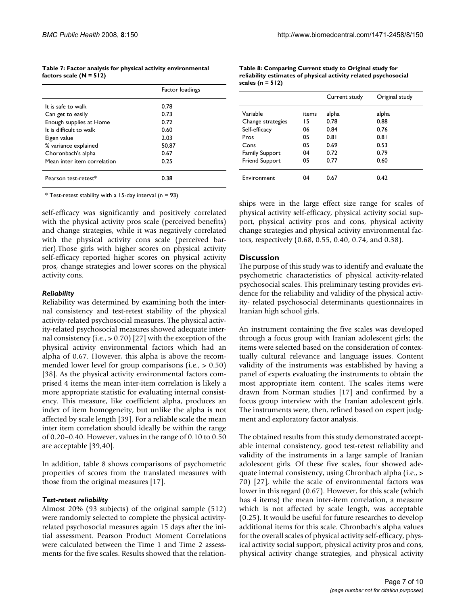| Table 7: Factor analysis for physical activity environmental |  |  |
|--------------------------------------------------------------|--|--|
| factors scale (N = 512)                                      |  |  |

|                             | Factor loadings |
|-----------------------------|-----------------|
| It is safe to walk          | 0.78            |
| Can get to easily           | 0.73            |
| Enough supplies at Home     | 0.72            |
| It is difficult to walk     | 0.60            |
| Eigen value                 | 2.03            |
| % variance explained        | 50.87           |
| Choronbach's alpha          | 0.67            |
| Mean inter item correlation | 0.25            |
| Pearson test-retest*        | 0.38            |

 $*$  Test-retest stability with a 15-day interval (n = 93)

self-efficacy was significantly and positively correlated with the physical activity pros scale (perceived benefits) and change strategies, while it was negatively correlated with the physical activity cons scale (perceived barrier).Those girls with higher scores on physical activity self-efficacy reported higher scores on physical activity pros, change strategies and lower scores on the physical activity cons.

#### *Reliability*

Reliability was determined by examining both the internal consistency and test-retest stability of the physical activity-related psychosocial measures. The physical activity-related psychosocial measures showed adequate internal consistency (i.e., > 0.70) [27] with the exception of the physical activity environmental factors which had an alpha of 0.67. However, this alpha is above the recommended lower level for group comparisons (i.e., > 0.50) [38]. As the physical activity environmental factors comprised 4 items the mean inter-item correlation is likely a more appropriate statistic for evaluating internal consistency. This measure, like coefficient alpha, produces an index of item homogeneity, but unlike the alpha is not affected by scale length [39]. For a reliable scale the mean inter item correlation should ideally be within the range of 0.20–0.40. However, values in the range of 0.10 to 0.50 are acceptable [39,40].

In addition, table 8 shows comparisons of psychometric properties of scores from the translated measures with those from the original measures [17].

#### *Test-retest reliability*

Almost 20% (93 subjects) of the original sample (512) were randomly selected to complete the physical activityrelated psychosocial measures again 15 days after the initial assessment. Pearson Product Moment Correlations were calculated between the Time 1 and Time 2 assessments for the five scales. Results showed that the relation-

| Table 8: Comparing Current study to Original study for          |
|-----------------------------------------------------------------|
| reliability estimates of physical activity related psychosocial |
| scales ( $n = 512$ )                                            |
|                                                                 |

|                       |       | Current study | Original study |
|-----------------------|-------|---------------|----------------|
| Variable              | items | alpha         | alpha          |
| Change strategies     | 15    | 0.78          | 0.88           |
| Self-efficacy         | 06    | 0.84          | 0.76           |
| Pros                  | 05    | 0.81          | 0.81           |
| Cons                  | 05    | 0.69          | 0.53           |
| <b>Family Support</b> | 04    | 0.72          | 0.79           |
| <b>Friend Support</b> | 05    | 0.77          | 0.60           |
| Environment           | 04    | 0.67          | 0.42           |

ships were in the large effect size range for scales of physical activity self-efficacy, physical activity social support, physical activity pros and cons, physical activity change strategies and physical activity environmental factors, respectively (0.68, 0.55, 0.40, 0.74, and 0.38).

#### **Discussion**

The purpose of this study was to identify and evaluate the psychometric characteristics of physical activity-related psychosocial scales. This preliminary testing provides evidence for the reliability and validity of the physical activity- related psychosocial determinants questionnaires in Iranian high school girls.

An instrument containing the five scales was developed through a focus group with Iranian adolescent girls; the items were selected based on the consideration of contextually cultural relevance and language issues. Content validity of the instruments was established by having a panel of experts evaluating the instruments to obtain the most appropriate item content. The scales items were drawn from Norman studies [17] and confirmed by a focus group interview with the Iranian adolescent girls. The instruments were, then, refined based on expert judgment and exploratory factor analysis.

The obtained results from this study demonstrated acceptable internal consistency, good test-retest reliability and validity of the instruments in a large sample of Iranian adolescent girls. Of these five scales, four showed adequate internal consistency, using Chronbach alpha (i.e., > 70) [27], while the scale of environmental factors was lower in this regard (0.67). However, for this scale (which has 4 items) the mean inter-item correlation, a measure which is not affected by scale length, was acceptable (0.25). It would be useful for future researches to develop additional items for this scale. Chronbach's alpha values for the overall scales of physical activity self-efficacy, physical activity social support, physical activity pros and cons, physical activity change strategies, and physical activity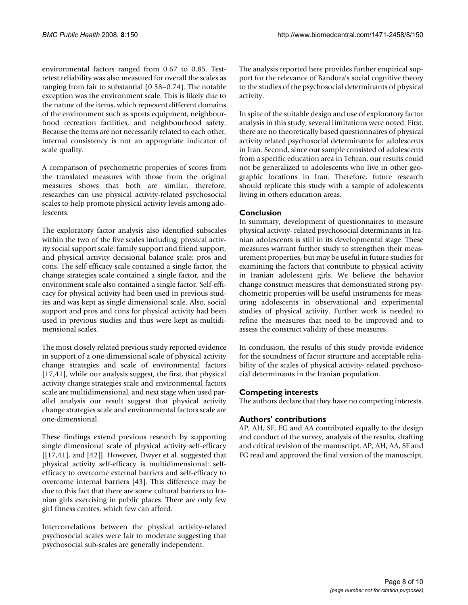environmental factors ranged from 0.67 to 0.85. Testretest reliability was also measured for overall the scales as ranging from fair to substantial (0.38–0.74). The notable exception was the environment scale. This is likely due to the nature of the items, which represent different domains of the environment such as sports equipment, neighbourhood recreation facilities, and neighbourhood safety. Because the items are not necessarily related to each other, internal consistency is not an appropriate indicator of scale quality.

A comparison of psychometric properties of scores from the translated measures with those from the original measures shows that both are similar, therefore, researches can use physical activity-related psychosocial scales to help promote physical activity levels among adolescents.

The exploratory factor analysis also identified subscales within the two of the five scales including: physical activity social support scale: family support and friend support, and physical activity decisional balance scale: pros and cons. The self-efficacy scale contained a single factor, the change strategies scale contained a single factor, and the environment scale also contained a single factor. Self-efficacy for physical activity had been used in previous studies and was kept as single dimensional scale. Also, social support and pros and cons for physical activity had been used in previous studies and thus were kept as multidimensional scales.

The most closely related previous study reported evidence in support of a one-dimensional scale of physical activity change strategies and scale of environmental factors [17,41], while our analysis suggest, the first, that physical activity change strategies scale and environmental factors scale are multidimensional, and next stage when used parallel analysis our result suggest that physical activity change strategies scale and environmental factors scale are one-dimensional.

These findings extend previous research by supporting single dimensional scale of physical activity self-efficacy [[17,41], and [42]]. However, Dwyer et al. suggested that physical activity self-efficacy is multidimensional: selfefficacy to overcome external barriers and self-efficacy to overcome internal barriers [43]. This difference may be due to this fact that there are some cultural barriers to Iranian girls exercising in public places. There are only few girl fitness centres, which few can afford.

Intercorrelations between the physical activity-related psychosocial scales were fair to moderate suggesting that psychosocial sub-scales are generally independent.

The analysis reported here provides further empirical support for the relevance of Bandura's social cognitive theory to the studies of the psychosocial determinants of physical activity.

In spite of the suitable design and use of exploratory factor analysis in this study, several limitations were noted. First, there are no theoretically based questionnaires of physical activity related psychosocial determinants for adolescents in Iran. Second, since our sample consisted of adolescents from a specific education area in Tehran, our results could not be generalized to adolescents who live in other geographic locations in Iran. Therefore, future research should replicate this study with a sample of adolescents living in others education areas.

# **Conclusion**

In summary, development of questionnaires to measure physical activity- related psychosocial determinants in Iranian adolescents is still in its developmental stage. These measures warrant further study to strengthen their measurement properties, but may be useful in future studies for examining the factors that contribute to physical activity in Iranian adolescent girls. We believe the behavior change construct measures that demonstrated strong psychometric properties will be useful instruments for measuring adolescents in observational and experimental studies of physical activity. Further work is needed to refine the measures that need to be improved and to assess the construct validity of these measures.

In conclusion, the results of this study provide evidence for the soundness of factor structure and acceptable reliability of the scales of physical activity- related psychosocial determinants in the Iranian population.

## **Competing interests**

The authors declare that they have no competing interests.

## **Authors' contributions**

AP, AH, SF, FG and AA contributed equally to the design and conduct of the survey, analysis of the results, drafting and critical revision of the manuscript. AP, AH, AA, SF and FG read and approved the final version of the manuscript.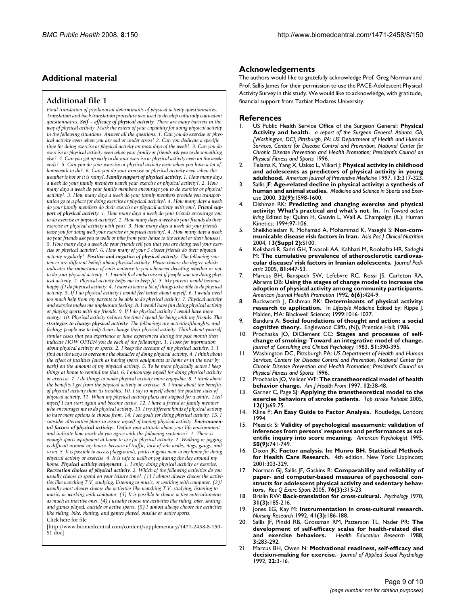# **Additional material**

#### **Additional file 1**

*Final translation of psychosocial determinants of physical activity questionnaires. Translation and back translation procedure was used to develop culturally equivalent questionnaires. Self – efficacy of physical activity. There are many barriers in the way of physical activity. Mark the extent of your capability for doing physical activity in the following situations. Answer all the questions. 1. Can you do exercise or physical activity even when you are sad or under stress? 2. Can you dedicate a specific time for doing exercise or physical activity on most days of the week?. 3. Can you do exercise or physical activity even when your family or friends ask you to do something else?. 4. Can you get up early to do your exercise or physical activity even on the weekends?. 5. Can you do your exercise or physical activity even when you have a lot of homework to do?. 6. Can you do your exercise or physical activity even when the weather is hot or it is rainy?. Family support of physical activity. 1. How many days a week do your family members watch your exercise or physical activity?. 2. How many days a week do your family members encourage you to do exercise or physical activity?. 3. How many days a week do your family members provide you transportation go to a place for doing exercise or physical activity?. 4. How many days a week*  do your family members do their exercise or physical activity with you?. Friend sup*port of physical activity. 1. How many days a week do your friends encourage you to do exercise or physical activity?. 2. How many days a week do your friends do their exercise or physical activity with you?. 3. How many days a week do your friends tease you for doing well your exercise or physical activity?. 4. How many days a week do your friends ask you to walk or bike from your house to the school or their houses?. 5. How many days a week do your friends tell you that you are doing well your exercise or physical activity?. 6. How many of your 5 closest friends do their physical activity regularly?. Positive and negative of physical activity. The following sentences are different beliefs about physical activity. Please choose the degree which indicates the importance of each sentence to you whenever deciding whether or not to do your physical activity. 1. I would feel embarrassed if people saw me doing physical activity. 2. Physical activity helps me to keep fit. 3. My parents would become happy if I do physical activity. 4. I have to learn a lot of things to be able to do physical activity. 5. If I do physical activity I would feel better about myself. 6. I would need too much help from my parents to be able to do physical activity. 7. Physical activity and exercise makes me unpleasant feeling. 8. I would have fun doing physical activity or playing sports with my friends. 9. If I do physical activity I would have more energy. 10. Physical activity reduces the time I spend for being with my friends. The strategies to change physical activity. The followings are activities/thoughts, and feelings people use to help them change their physical activity. Think about yourself similar cases that you experience or have experienced during the past month then indicate HOW OFTEN you do each of the followings:. 1. I look for information about physical activity or sports. 2. I keep the account of my physical activity. 3. I find out the ways to overcome the obstacles of doing physical activity. 4. I think about the effect of facilities (such as having sports equipments at home or in the near by park)* on the amount of my physical activity. 5. To be more physically active I keep *things at home to remind me that. 6. I encourage myself for doing physical activity or exercise. 7. I do things to make physical activity more enjoyable. 8. I think about the benefits I get from the physical activity or exercise. 9. I think about the benefits of physical activity than its troubles. 10. I say to myself about the positive sides of physical activity. 11. When my physical activity plans are stopped for a while,. I tell myself I can start again and become active. 12. I have a friend or family member who encourages me to do physical activity. 13. I try different kinds of physical activity*  to have more options to choose from. 14. I set goals for doing physical activity. 15. I *consider alternative plans to assure myself of having physical activity. Environmental factors of physical activity:. Define your attitude about your life environment and indicate how much do you agree with the following sentences?. 1. There is enough sports equipment at home to use for physical activity. 2. Walking or jogging is difficult around my house, because of traffic, lack of side walks, dogs, gangs, and so on. 3. It is possible to access playgrounds, parks or gyms near to my home for doing physical activity or exercise. 4. It is safe to walk or jog during the day around my home. Physical activity enjoyment. 1. I enjoy doing physical activity or exercise. Recreation choices of physical activity. 2. Which of the following activities do you usually choose to spend on your leisure time?. (1) I almost always choose the activities like watching T.V, studying, listening to music, or working with computer. (2)I usually most always choose the activities like watching T.V, studying, listening to music, or working with computer. (3) It is possible to choose active entertainments as much as inactive ones. (4) I usually choose the activities like riding, bike, skating, and games played, outside or active sports. (5) I almost always choose the activities like riding, bike, skating, and games played, outside or active sports.* Click here for file

[\[http://www.biomedcentral.com/content/supplementary/1471-2458-8-150-](http://www.biomedcentral.com/content/supplementary/1471-2458-8-150-S1.doc) S1.doc]

#### **Acknowledgements**

The authors would like to gratefully acknowledge Prof. Greg Norman and Prof. Sallis James for their permission to use the PACE-Adolescent Physical Activity Survey in this study. We would like to acknowledge, with gratitude, financial support from Tarbiat Modares University.

#### **References**

- 1. US Public Health Service Office of the Surgeon General: **Physical Activity and health.** *a report of the Surgeon General. Atlanta, GA, [Washington, DC], Pittsburgh, PA: US Department of Health and Human Services, Centers for Disease Control and Prevention, National Center for Chronic Disease Prevention and Health Promotion; President's Council on Physical Fitness and Sports* 1996.
- 2. Telama K, Yang X, Uakso L, Viikari J: **[Physical activity in childhood](http://www.ncbi.nlm.nih.gov/entrez/query.fcgi?cmd=Retrieve&db=PubMed&dopt=Abstract&list_uids=9236971) [and adolescents as predictors of physical activity in young](http://www.ncbi.nlm.nih.gov/entrez/query.fcgi?cmd=Retrieve&db=PubMed&dopt=Abstract&list_uids=9236971) [adulthood.](http://www.ncbi.nlm.nih.gov/entrez/query.fcgi?cmd=Retrieve&db=PubMed&dopt=Abstract&list_uids=9236971)** *American Journal of Preventive Medicine* 1997, **13:**317-323.
- 3. Sallis JF: **[Age-related decline in physical activity: a synthesis of](http://www.ncbi.nlm.nih.gov/entrez/query.fcgi?cmd=Retrieve&db=PubMed&dopt=Abstract&list_uids=10994911) [human and animal studies.](http://www.ncbi.nlm.nih.gov/entrez/query.fcgi?cmd=Retrieve&db=PubMed&dopt=Abstract&list_uids=10994911)** *Medicine and Science in Sports and Exercise* 2000, **32(9):**1598-1600.
- 4. Dishman RK: **Predicting and changing exercise and physical activity: What's practical and what's not. In.** In *Toward active living* Edited by: Quinn H, Gauvin L, Wall A. Champaign (IL): Human Kinetics; 1994:97-106.
- 5. Sheikholeslam R, Mohamad A, Mohammad K, Vaseghi S: **Non-communicable disease risk factors in Iran.** *Asia Pac J Clinical Nutrition* 2004, **13(Suppl 2):**S100.
- 6. Kelishadi R, Sadri GH, Tavasoli AA, Kahbazi M, Roohafza HR, Sadeghi M: **The cumulative prevalence of atherosclerotic cardiovascular diseases' risk factors in Iranian adolescents.** *Journal Pediatric* 2005, **81:**447-53.
- Marcus BH, Banspach SW, Lefebvre RC, Rossi JS, Carleton RA, Abrams DB: **[Using the stages of change model to increase the](http://www.ncbi.nlm.nih.gov/entrez/query.fcgi?cmd=Retrieve&db=PubMed&dopt=Abstract&list_uids=10146803) [adoption of physical activity among community participants.](http://www.ncbi.nlm.nih.gov/entrez/query.fcgi?cmd=Retrieve&db=PubMed&dopt=Abstract&list_uids=10146803)** *American Journal Health Promotion* 1992, **6(6):**424-9.
- 8. Buckworth J, Dishman RK: **Determinants of physical activity: research to application.** In *Lifestyle Medicine* Edited by: Rippe J. Malden, MA: Blackwell Science; 1999:1016-1027.
- 9. Bandura A: **Social foundations of thought and action: a social cognitive theory.** Englewood Cliffs, (NJ), Prentice Hall; 1986.
- 10. Prochaska JO, DiClement CC: **Stages and processes of selfchange of smoking: Toward an integrative model of change.** *Journal of Consulting and Clinical Psychology* 1983, **51:**390-395.
- 11. Washington DC, Pittsburgh PA: *US Department of Health and Human Services, Centers for Disease Control and Prevention, National Center for Chronic Disease Prevention and Health Promotion; President's Council on Physical Fitness and Sports* 1996.
- 12. Prochaska JO, Velicer WF: **The transtheoretical model of health behavior change.** *Am J Health Prom* 1997, **12:**38-48.
- Garner C, Page S<sub>J</sub>: [Applying the transtheoretical model to the](http://www.ncbi.nlm.nih.gov/entrez/query.fcgi?cmd=Retrieve&db=PubMed&dopt=Abstract&list_uids=15736002) **[exercise behaviors of stroke patients.](http://www.ncbi.nlm.nih.gov/entrez/query.fcgi?cmd=Retrieve&db=PubMed&dopt=Abstract&list_uids=15736002)** *Top stroke Rehabit* 2005, **12(1):**69-75.
- 14. Kline P: **An Easy Guide to Factor Analysis.** Routledge, London; 1994.
- 15. Messick S: **Validity of psychological assessment: validation of inferences from persons' responses and performances as scientific inquiry into score meaning.** *American Psychologist* 1995, **50(9):**741-749.
- 16. Dixon JK: **Factor analysis. In: Munro BH. Statistical Methods for Health Care Research.** 4th edition. New York: Lippincott; 2001:303-329.
- 17. Norman GJ, Sallis JF, Gaskins R: **[Comparability and reliability of](http://www.ncbi.nlm.nih.gov/entrez/query.fcgi?cmd=Retrieve&db=PubMed&dopt=Abstract&list_uids=16270708) paper- and computer-based measures of psychosocial con[structs for adolescent physical activity and sedentary behav](http://www.ncbi.nlm.nih.gov/entrez/query.fcgi?cmd=Retrieve&db=PubMed&dopt=Abstract&list_uids=16270708)[iors.](http://www.ncbi.nlm.nih.gov/entrez/query.fcgi?cmd=Retrieve&db=PubMed&dopt=Abstract&list_uids=16270708)** *Res Q Exerc Sport* 2005, **76(3):**315-23.
- 18. Brislin RW: **Back-translation for cross-cultural.** *Psychology* 1970, **31(3):**185-216.
- 19. Jones EG, Kay M: **[Instrumentation in cross-cultural research.](http://www.ncbi.nlm.nih.gov/entrez/query.fcgi?cmd=Retrieve&db=PubMed&dopt=Abstract&list_uids=1584664)** *Nursing Research* 1992, **41(3):**186-188.
- 20. Sallis JF, Pinski RB, Grossman RM, Patterson TL, Nader PR: **The development of self-efficacy scales for health-related diet** and exercise behaviors. **3:**283-292.
- 21. Marcus BH, Owen N: **Motivational readiness, self-efficacy and decision-making for exercise.** *Journal of Applied Social Psychology* 1992, **22:**3-16.